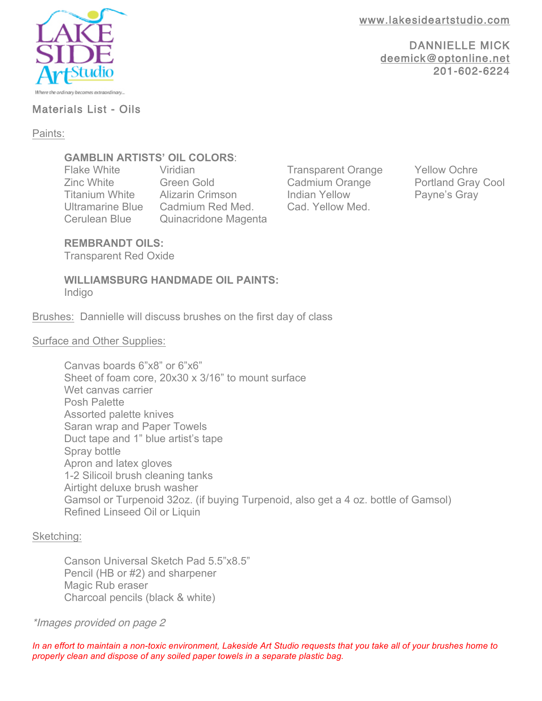

Materials List - Oils

Paints:

### **GAMBLIN ARTISTS' OIL COLORS**:

Flake White Viridian Transparent Orange Yellow Ochre Zinc White Green Gold Cadmium Orange Portland Gray Cool Titanium White Alizarin Crimson **Indian Yellow** Payne's Gray Ultramarine Blue Cadmium Red Med. Cad. Yellow Med. Cerulean Blue Quinacridone Magenta

#### **REMBRANDT OILS:**

Transparent Red Oxide

#### **WILLIAMSBURG HANDMADE OIL PAINTS:** Indigo

Brushes: Dannielle will discuss brushes on the first day of class

Surface and Other Supplies:

Canvas boards 6"x8" or 6"x6" Sheet of foam core, 20x30 x 3/16" to mount surface Wet canvas carrier Posh Palette Assorted palette knives Saran wrap and Paper Towels Duct tape and 1" blue artist's tape Spray bottle Apron and latex gloves 1-2 Silicoil brush cleaning tanks Airtight deluxe brush washer Gamsol or Turpenoid 32oz. (if buying Turpenoid, also get a 4 oz. bottle of Gamsol) Refined Linseed Oil or Liquin

#### Sketching:

Canson Universal Sketch Pad 5.5"x8.5" Pencil (HB or #2) and sharpener Magic Rub eraser Charcoal pencils (black & white)

\*Images provided on page 2

*In an effort to maintain a non-toxic environment, Lakeside Art Studio requests that you take all of your brushes home to properly clean and dispose of any soiled paper towels in a separate plastic bag.*

www.lakesideartstudio.com

DANNIELLE MICK deemick@optonline.net 201-602-6224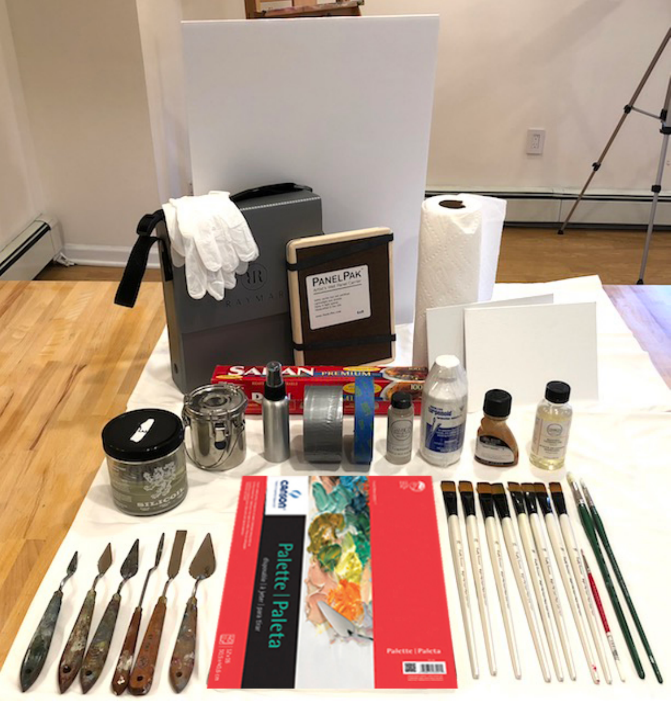